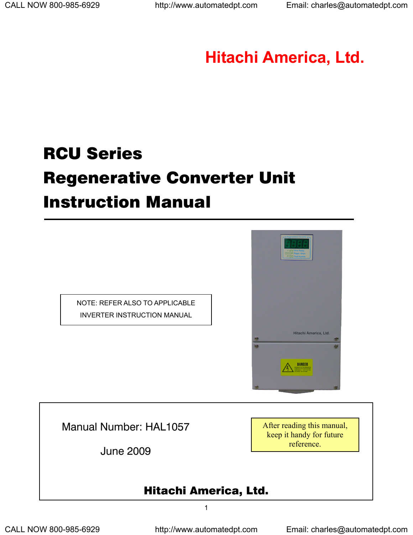# **Hitachi America, Ltd.**

# RCU Series Regenerative Converter Unit Instruction Manual





Manual Number: HAL1057

June 2009

 $1$ 

After reading this manual, keep it handy for future reference.

# Hitachi America, Ltd.

CALL NOW 800-985-6929 http://www.automatedpt.com Email: charles@automatedpt.com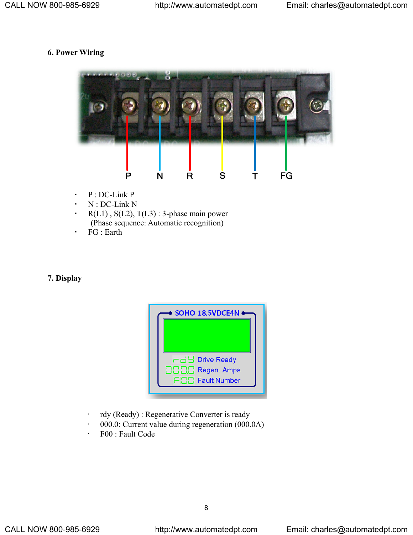## **6. Power Wiring**



- P : DC-Link P
- N : DC-Link N
- $\cdot$  R(L1), S(L2), T(L3) : 3-phase main power (Phase sequence: Automatic recognition)
- FG : Earth

#### **7. Display**



- rdy (Ready) : Regenerative Converter is ready
- 000.0: Current value during regeneration (000.0A)
- F00 : Fault Code

en andere de la provincia de la provincia de la provincia de la provincia de la provincia de la provincia del<br>En 1888, en 1888, en 1888, en 1888, en 1888, en 1888, en 1888, en 1888, en 1888, en 1888, en 1888, en 1888, en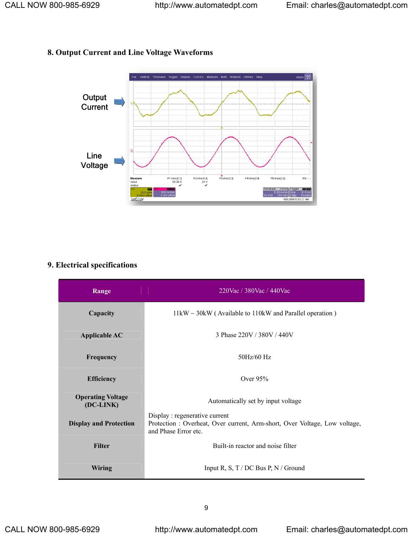### **8. Output Current and Line Voltage Waveforms**



# **9. Electrical specifications**

| Range                                 | 220Vac / 380Vac / 440Vac                                                                                                            |
|---------------------------------------|-------------------------------------------------------------------------------------------------------------------------------------|
| Capacity                              | $11\,\text{kW} \sim 30\,\text{kW}$ (Available to 110 kW and Parallel operation)                                                     |
| <b>Applicable AC</b>                  | 3 Phase 220V / 380V / 440V                                                                                                          |
| Frequency                             | 50Hz/60 Hz                                                                                                                          |
| <b>Efficiency</b>                     | Over $95%$                                                                                                                          |
| <b>Operating Voltage</b><br>(DC-LINK) | Automatically set by input voltage                                                                                                  |
| <b>Display and Protection</b>         | Display: regenerative current<br>Protection : Overheat, Over current, Arm-short, Over Voltage, Low voltage,<br>and Phase Error etc. |
| <b>Filter</b>                         | Built-in reactor and noise filter                                                                                                   |
| Wiring                                | Input R, S, T / DC Bus P, N / Ground                                                                                                |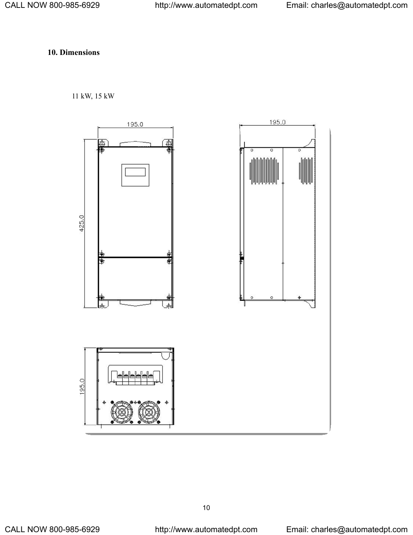### **10. Dimensions**

#### 11 kW, 15 kW



 $10$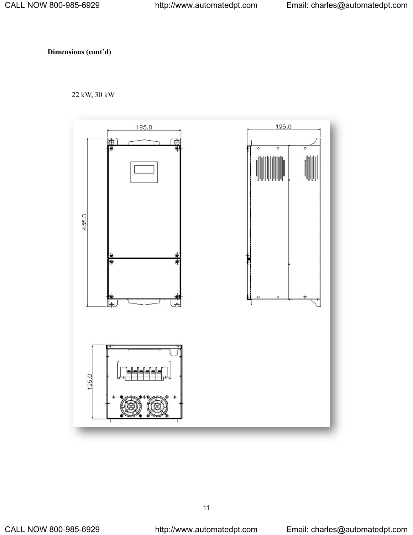**Dimensions (cont'd)** 

22 kW, 30 kW



<u>11 - Andrea Santana, amin'ny fivondronan-kaominin'i Paris (</u>